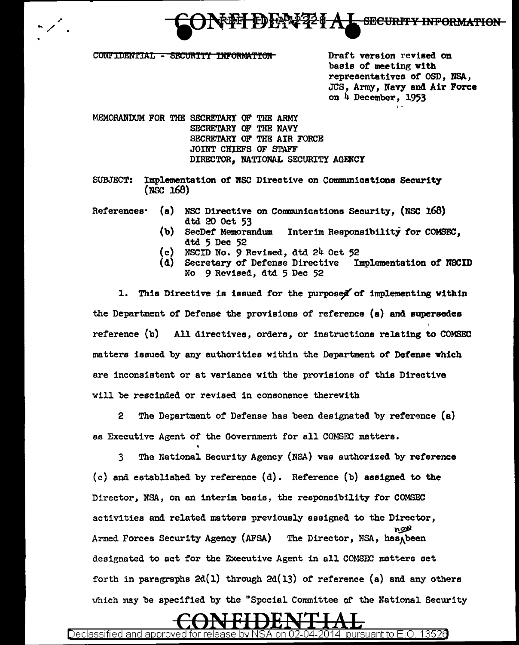

CONFIDENTIAL - SECURITY INFORMATION MOTOR Draft version revised on

basis of meeting vlth representatives of OSD, NSA, JCS, Army, Navy and Air Force on 4 December, 1953

MEMORANDUM FOR THE SECRETARY OF THE ARMY SECRETARY OF THE NAVY SECRETARY OF THE AIR FORCE JOINT CHIEFS OF STAFF DIRECTOR, NATIONAL SECURITY AGENCY

SUBJECT: Implementation of NSC Directive on Communications Security (NSC 168)

References• (a) NSC Directive on Communications Security, (NSC 168)

- (b) dtd 20 Oct 53<br>SecDef Memorandum Interim Responsibility for COMSEC. dtd 5 Dec 52
- (c) NSCID No. 9 Revised, dtd 24 Oct 52
- (d) Secretary of Defense Directive Implementation of NSCID No 9 Revised, dtd 5 Dec 52

1. This Directive is issued for the purposed of implementing within the Department of Defense the provisions of reference (a) and supersedes reference (b) All directives, orders, or instructions relating to COMSEC matters issued by any authorities within the Department of Defense which are inconsistent or at variance with the provisions of this Directive will be rescinded or revised in consonance therewith

2 The Department of Defense has been designated by reference (a) as Executive Agent of the Government for all COMSEC matters.

3 The National Security Agency (NSA) was authorized by reference (c) and established by reference (d). Reference (b) assigned to the Director, NSA, on an interim basis, the responsibility for COMSEC activities and related matters previously assigned to the Director, The Director, NSA, has heen Armed Forces Security Agency (AFSA) designated to set for the Executive Agent in all COMSEC matters set forth in paragraphs  $2d(1)$  through  $2d(13)$  of reference (a) and any others which may be specified by the "Special Committee of the National Security

Declassified and approved for release by NSA on 02-04-2014  $\,$  pursuant to E.O. 1352 $\theta$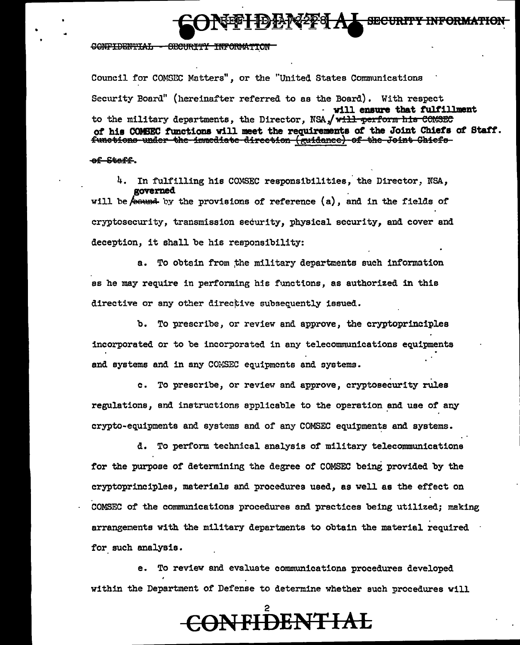CONFIDENTIAL - SECURITY INFORMATION

Council for COMSEC Matters", or the "United States Communications Security Board" (hereinafter referred to as the Board). With respect . will ensure that fulfillment to the military departments, the Director, NSA, will perform his COMSEC of his COMSEC functions will meet the requirements of the Joint Chiefs of Staff. functions under the immediate direction (guidance) of the Joint Chiefs

**SECURITY INFORMATIO** 

### of Staff.

4. In fulfilling his COMSEC responsibilities, the Director, NSA. governed

will be  $\phi$  bound by the provisions of reference (a), and in the fields of cryptosecurity, transmission security, physical security, and cover and deception, it shall be his responsibility:

a. To obtain from the military departments such information as he may require in performing his functions, as authorized in this directive or any other directive subsequently issued.

b. To prescribe, or review and approve, the cryptoprinciples incorporated or to be incorporated in any telecommunications equipments and systems and in any COMSEC equipments and systems.

c. To prescribe, or review and approve, cryptosecurity rules regulations, and instructions applicable to the operation and use of any crypto-equipments and systems and of any COMSEC equipments and systems.

d. To perform technical analysis of military telecommunications for the purpose of determining the degree of COMSEC being provided by the cryptoprinciples, materials and procedures used, as well as the effect on COMSEC of the communications procedures and practices being utilized; making arrangements with the military departments to obtain the material required for such analysis.

e. To review and evaluate communications procedures developed within the Department of Defense to determine whether such procedures will

# <del>CONFIDENTIAL</del>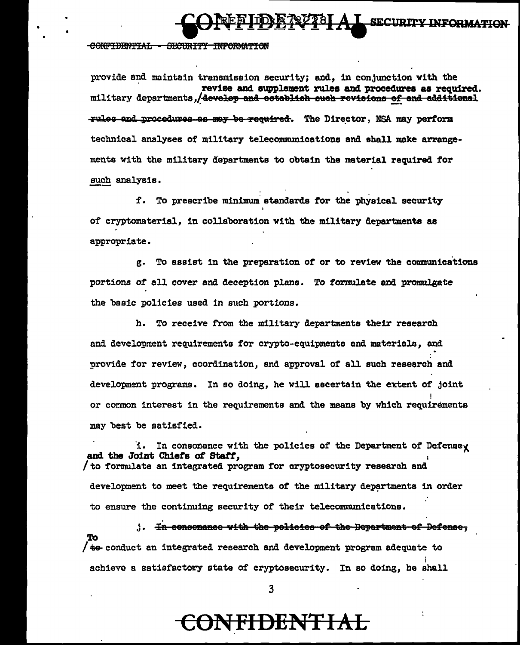**A L SECURITY INFORMATION** 

### CONFIDENTIAL - SECURITY INFORMATION

provide and maintain transmission security; and, in conjunction with the revise and supplement rules and procedures as required. military departments, develop and establish such revisions of and additional **Tules and procedures as may be required.** The Director, NSA may perform technical analyses of military telecommunications and shall make arrangements with the military departments to obtain the material required for such analysis.

f. To prescribe minimum standards for the physical security of cryptomaterial, in collaboration with the military departments as appropriate.

g. To assist in the preparation of or to review the communications portions of all cover and deception plans. To formulate and promulgate the basic policies used in such portions.

h. To receive from the military departments their research and development requirements for crypto-equipments and materials, and provide for review, coordination, and approval of all such research and development programs. In so doing, he will ascertain the extent of joint or common interest in the requirements and the means by which requirements may best be satisfied.

i. In consonance with the policies of the Department of Defensey and the Joint Chiefs of Staff, to formulate an integrated program for cryptosecurity research and development to meet the requirements of the military departments in order to ensure the continuing security of their telecommunications.

1. In consenance with the policies of the Department of Defense.  $/$  to conduct an integrated research and development program adequate to achieve a satisfactory state of cryptosecurity. In so doing, he shall

### <del>CONFIDENTIAL</del>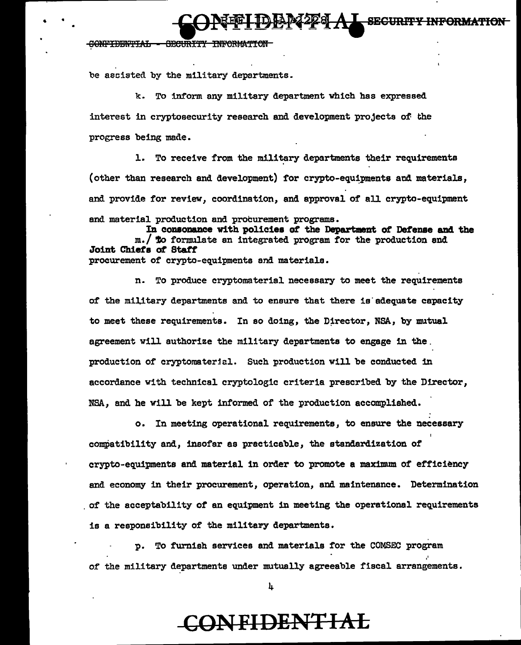**SECURITY** 

#### **CONFIDENTIAL** SECURITY INFORMATIO

be assisted by the military departments.

k. To inform any military department which has expressed interest in cryptosecurity research and development projects of the progress being made.

1. To receive from the military departments their requirements (other than research and development) for crypto-equipments and materials, and provide for review, coordination, and approval of all crypto-equipment and material production and procurement programs.

In consonance with policies of the Department of Defense and the m./ To formulate an integrated program for the production and Joint Chiefs of Staff procurement of crypto-equipments and materials.

n. To produce cryptomaterial necessary to meet the requirements of the military departments and to ensure that there is adequate capacity to meet these requirements. In so doing, the Director, NSA, by mutual agreement will authorize the military departments to engage in the. production of cryptomaterial. Such production will be conducted in accordance with technical cryptologic criteria prescribed by the Director, NSA. and he will be kept informed of the production accomplished.

o. In meeting operational requirements, to ensure the necessary compatibility and, insofar as practicable, the standardization of crypto-equipments and material in order to promote a maximum of efficiency and economy in their procurement, operation, and maintenance. Determination of the acceptability of an equipment in meeting the operational requirements is a responsibility of the military departments.

p. To furnish services and materials for the COMSEC program of the military departments under mutually agreeable fiscal arrangements.

4

## **ONFIDENTIAL**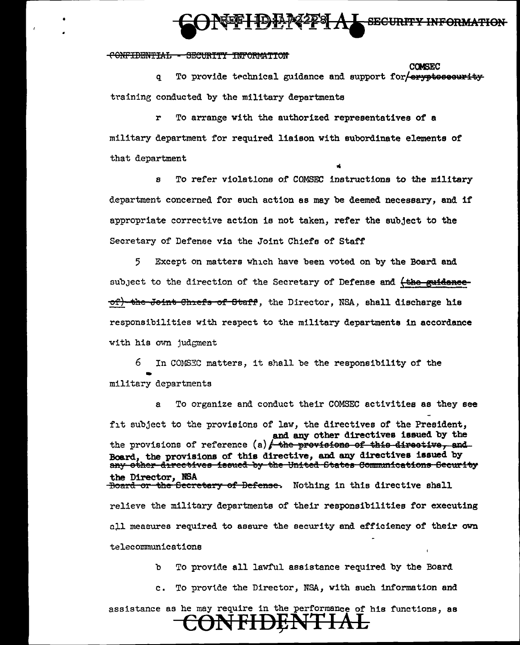### **SECIMPTY INFORMATION**

#### CONFIDENTIAL - SECURITY INFORMATION

**COMSEC** To provide technical guidance and support for exypteseeurity q training conducted by the military departments

To arrange with the authorized representatives of a military department for required liaison with subordinate elements of that department

To refer violations of COMSEC instructions to the military  $\mathbf{a}$ department concerned for such action as may be deemed necessary, and if appropriate corrective action is not taken, refer the subject to the Secretary of Defense via the Joint Chiefs of Staff

Except on matters which have been voted on by the Board and 5. subject to the direction of the Secretary of Defense and (the euidenceof) the Joint Chiefs of Staff, the Director, NSA, shall discharge his responsibilities with respect to the military departments in accordance with his own judgment

6. In COMSEC matters, it shall be the responsibility of the military departments

To organize and conduct their COMSEC activities as they see a fit subject to the provisions of law, the directives of the President, and any other directives issued by the the provisions of reference  $(a)$  the provisions of this directive, and Board, the provisions of this directive, and any directives issued by any other directives issued by the United States Communications Security the Director, NSA<br><del>Board or the Secretary of Defense</del>. Nothing in this directive shall relieve the military departments of their responsibilities for executing all measures required to assure the security and efficiency of their own telecommunications

> To provide all lawful assistance required by the Board ħ

To provide the Director, NSA, with such information and  $c_{\bullet}$ 

assistance as he may require in the performance of his functions, as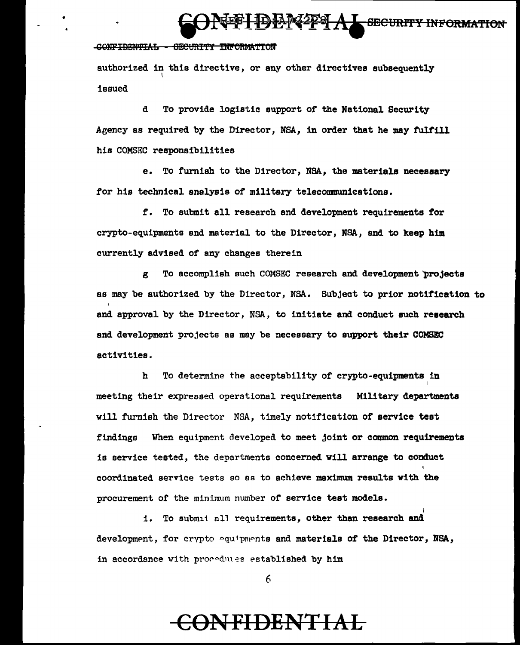## . \_ **eJ: A9** SBCURf'fY INPOftMld'ION

### CONFIDENTIAL - GECURITY INFORMATION

•

authorized in this directive, or any other directives subsequently issued

d To provide logistic support of the National Security Agency es required by the Director, NSA, in order that he may fulfill his COMSEC responsibilities

e. To furnish to the Director, NSA, the materials necessary for his technical analysis of military telecommunications.

f. To submit all research end development requirements for crypto-equipments and materiel to the Director, NSA, end to keep him currently advised of any changes therein

To accomplish such COMSEC research and development projects es may be authorized by the Director, NSA. Subject to prior notification to and approval by the Director, NSA, to initiate and conduct such research end development projects as may be necessary to support their COMSEC activities.

h To determine the acceptability of crypto-equipmenta in I meeting their expressed operational requirements Military departments will furnish the Director NSA, timely notification of service test findings When equipment developed to meet joint or common requirements is service tested, the departments concerned will arrange to conduct coordinated service tests so as to achieve maximum results with the procurement of the minimum number of service test models.

i. To submit all requirements, other than research and development, for crypto equipments and materials of the Director, NSA, in accordance with procedures established by him

I

*6* 

## **CONFIDENTIAL**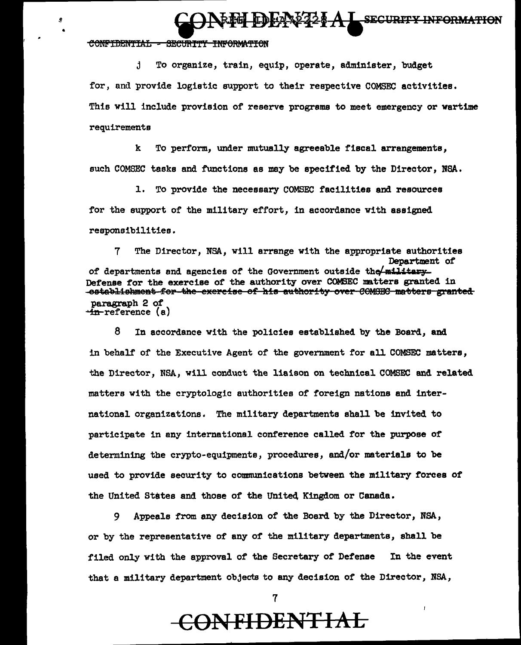**FEEL EDEAN224 A L SECURITY INFORMATION** 

#### CONFIDENTIAL SECURITY INFORMATION

ø

 $\mathbf{f}$ . To organize, train, equip, operate, administer, budget for, and provide logistic support to their respective COMSEC activities. This will include provision of reserve programs to meet emergency or wartime requirements

 $\mathbf{k}$ To perform, under mutually agreeable fiscal arrangements. such COMSEC tasks and functions as may be specified by the Director, NSA.

To provide the necessary COMSEC facilities and resources 1. for the support of the military effort, in accordance with assigned responsibilities.

7 The Director, NSA, will arrange with the appropriate authorities Department of of departments and agencies of the Government outside the military Defense for the exercise of the authority over COMSEC matters granted in -establishment for the exercise of his authority over COMGEC matters granted paragraph 2 of <del>in</del>-reference (a)

8 In accordance with the policies established by the Board, and in behalf of the Executive Agent of the government for all COMSEC matters, the Director, NSA, will conduct the liaison on technical COMSEC and related matters with the cryptologic authorities of foreign nations and international organizations. The military departments shall be invited to participate in any international conference called for the purpose of determining the crypto-equipments, procedures, and/or materials to be used to provide security to communications between the military forces of the United States and those of the United Kingdom or Canada.

Appeals from any decision of the Board by the Director, NSA, 9 or by the representative of any of the military departments, shall be filed only with the approval of the Secretary of Defense In the event that a military department objects to any decision of the Director, NSA,

## **CONFIDENTIAL**

7